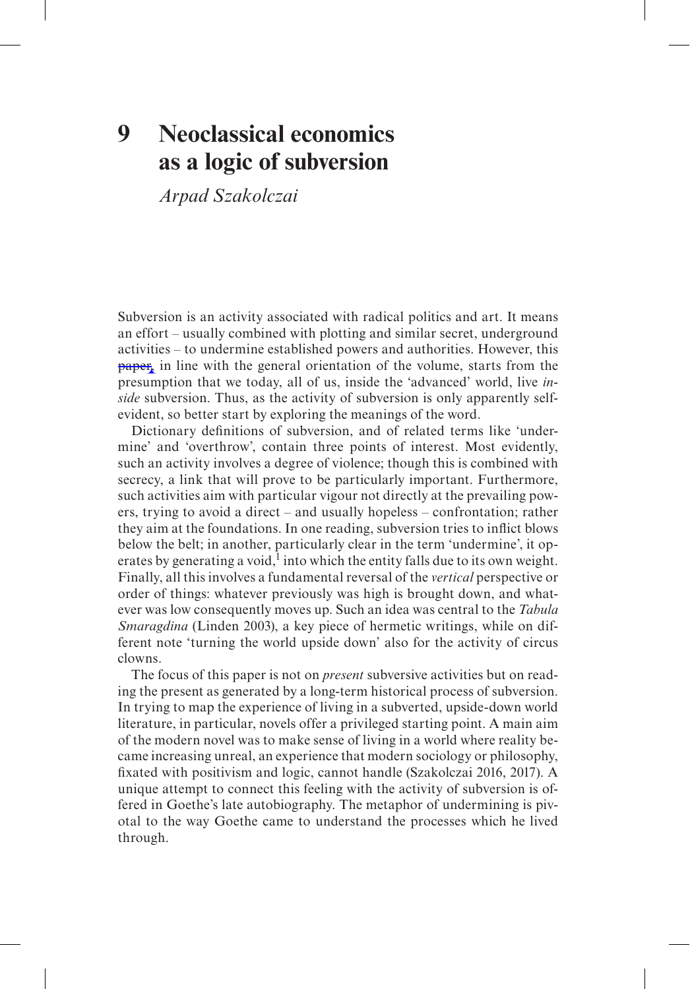# **9 Neoclassical economics as a logic of subversion**

*Arpad Szakolczai*

Subversion is an activity associated with radical politics and art. It means an effort – usually combined with plotting and similar secret, underground activities – to undermine established powers and authorities. However, this **paper**, in line with the general orientation of the volume, starts from the presumption that we today, all of us, inside the 'advanced' world, live *inside* subversion. Thus, as the activity of subversion is only apparently selfevident, so better start by exploring the meanings of the word.

Dictionary definitions of subversion, and of related terms like 'undermine' and 'overthrow', contain three points of interest. Most evidently, such an activity involves a degree of violence; though this is combined with secrecy, a link that will prove to be particularly important. Furthermore, such activities aim with particular vigour not directly at the prevailing powers, trying to avoid a direct – and usually hopeless – confrontation; rather they aim at the foundations. In one reading, subversion tries to inflict blows below the belt; in another, particularly clear in the term 'undermine', it operates by generating a void,<sup>1</sup> into which the entity falls due to its own weight. Finally, all this involves a fundamental reversal of the *vertical* perspective or order of things: whatever previously was high is brought down, and whatever was low consequently moves up. Such an idea was central to the *Tabula Smaragdina* (Linden 2003), a key piece of hermetic writings, while on different note 'turning the world upside down' also for the activity of circus clowns.

The focus of this paper is not on *present* subversive activities but on reading the present as generated by a long-term historical process of subversion. In trying to map the experience of living in a subverted, upside-down world literature, in particular, novels offer a privileged starting point. A main aim of the modern novel was to make sense of living in a world where reality became increasing unreal, an experience that modern sociology or philosophy, fixated with positivism and logic, cannot handle (Szakolczai 2016, 2017). A unique attempt to connect this feeling with the activity of subversion is offered in Goethe's late autobiography. The metaphor of undermining is pivotal to the way Goethe came to understand the processes which he lived through.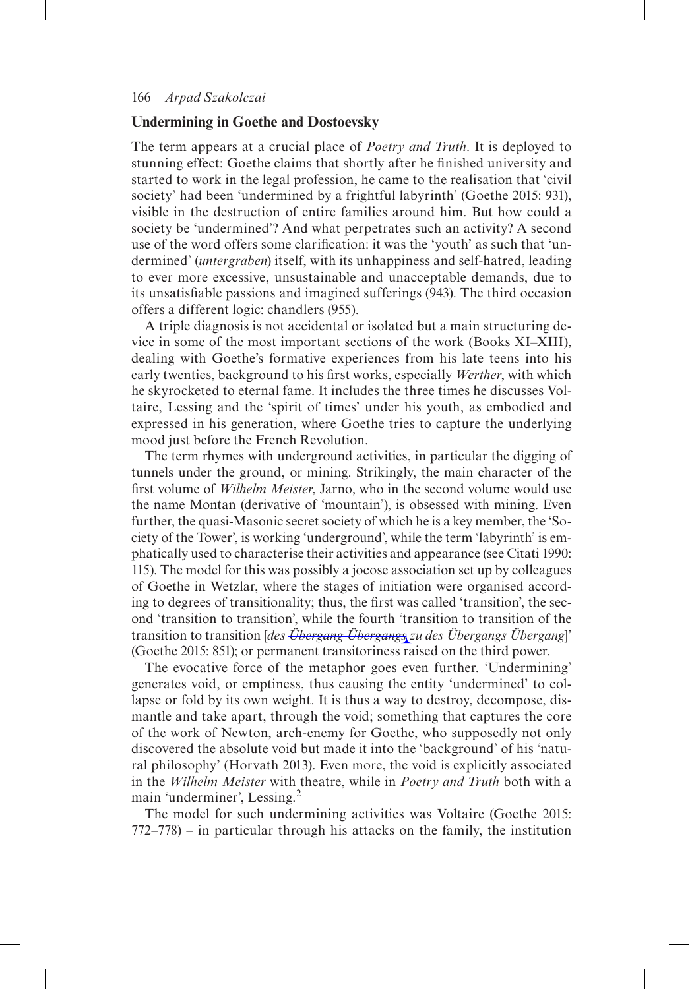# **Undermining in Goethe and Dostoevsky**

The term appears at a crucial place of *Poetry and Truth*. It is deployed to stunning effect: Goethe claims that shortly after he finished university and started to work in the legal profession, he came to the realisation that 'civil society' had been 'undermined by a frightful labyrinth' (Goethe 2015: 931), visible in the destruction of entire families around him. But how could a society be 'undermined'? And what perpetrates such an activity? A second use of the word offers some clarification: it was the 'youth' as such that 'undermined' (*untergraben*) itself, with its unhappiness and self-hatred, leading to ever more excessive, unsustainable and unacceptable demands, due to its unsatisfiable passions and imagined sufferings (943). The third occasion offers a different logic: chandlers (955).

A triple diagnosis is not accidental or isolated but a main structuring device in some of the most important sections of the work (Books XI–XIII), dealing with Goethe's formative experiences from his late teens into his early twenties, background to his first works, especially *Werther*, with which he skyrocketed to eternal fame. It includes the three times he discusses Voltaire, Lessing and the 'spirit of times' under his youth, as embodied and expressed in his generation, where Goethe tries to capture the underlying mood just before the French Revolution.

The term rhymes with underground activities, in particular the digging of tunnels under the ground, or mining. Strikingly, the main character of the first volume of *Wilhelm Meister*, Jarno, who in the second volume would use the name Montan (derivative of 'mountain'), is obsessed with mining. Even further, the quasi-Masonic secret society of which he is a key member, the 'Society of the Tower', is working 'underground', while the term 'labyrinth' is emphatically used to characterise their activities and appearance (see Citati 1990: 115). The model for this was possibly a jocose association set up by colleagues of Goethe in Wetzlar, where the stages of initiation were organised according to degrees of transitionality; thus, the first was called 'transition', the second 'transition to transition', while the fourth 'transition to transition of the transition to transition [*des Übergang Übergangs zu des Übergangs Übergang*]' (Goethe 2015: 851); or permanent transitoriness raised on the third power.

The evocative force of the metaphor goes even further. 'Undermining' generates void, or emptiness, thus causing the entity 'undermined' to collapse or fold by its own weight. It is thus a way to destroy, decompose, dismantle and take apart, through the void; something that captures the core of the work of Newton, arch-enemy for Goethe, who supposedly not only discovered the absolute void but made it into the 'background' of his 'natural philosophy' (Horvath 2013). Even more, the void is explicitly associated in the *Wilhelm Meister* with theatre, while in *Poetry and Truth* both with a main 'underminer', Lessing.<sup>2</sup>

The model for such undermining activities was Voltaire (Goethe 2015: 772–778) – in particular through his attacks on the family, the institution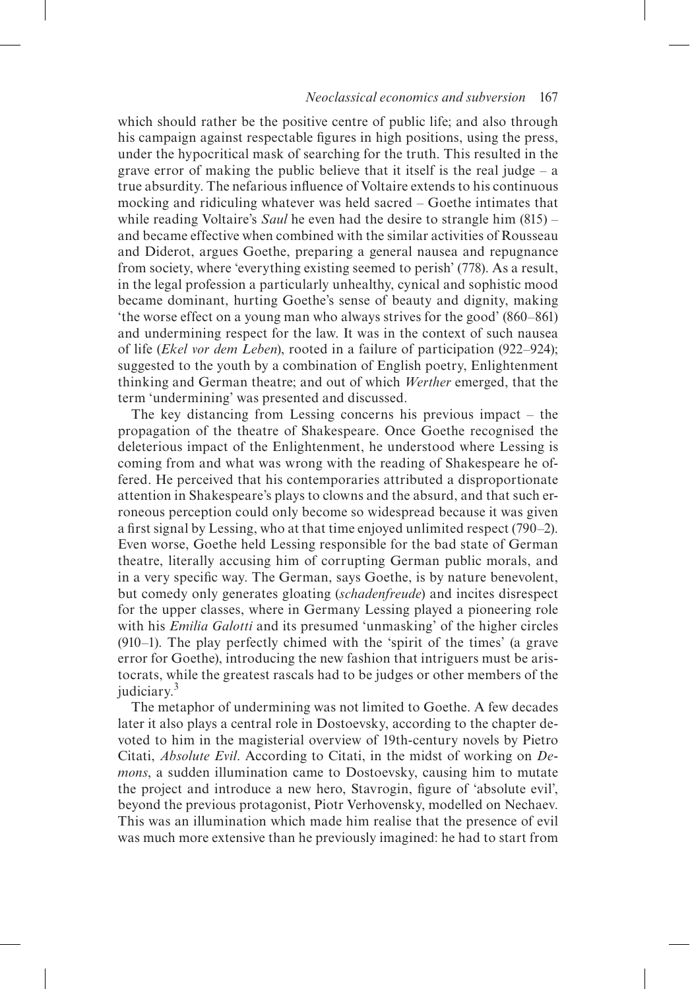#### *Neoclassical economics and subversion* 167

which should rather be the positive centre of public life; and also through his campaign against respectable figures in high positions, using the press, under the hypocritical mask of searching for the truth. This resulted in the grave error of making the public believe that it itself is the real judge – a true absurdity. The nefarious influence of Voltaire extends to his continuous mocking and ridiculing whatever was held sacred – Goethe intimates that while reading Voltaire's *Saul* he even had the desire to strangle him (815) – and became effective when combined with the similar activities of Rousseau and Diderot, argues Goethe, preparing a general nausea and repugnance from society, where 'everything existing seemed to perish' (778). As a result, in the legal profession a particularly unhealthy, cynical and sophistic mood became dominant, hurting Goethe's sense of beauty and dignity, making 'the worse effect on a young man who always strives for the good' (860–861) and undermining respect for the law. It was in the context of such nausea of life (*Ekel vor dem Leben*), rooted in a failure of participation (922–924); suggested to the youth by a combination of English poetry, Enlightenment thinking and German theatre; and out of which *Werther* emerged, that the term 'undermining' was presented and discussed.

The key distancing from Lessing concerns his previous impact – the propagation of the theatre of Shakespeare. Once Goethe recognised the deleterious impact of the Enlightenment, he understood where Lessing is coming from and what was wrong with the reading of Shakespeare he offered. He perceived that his contemporaries attributed a disproportionate attention in Shakespeare's plays to clowns and the absurd, and that such erroneous perception could only become so widespread because it was given a first signal by Lessing, who at that time enjoyed unlimited respect (790–2). Even worse, Goethe held Lessing responsible for the bad state of German theatre, literally accusing him of corrupting German public morals, and in a very specific way. The German, says Goethe, is by nature benevolent, but comedy only generates gloating (*schadenfreude*) and incites disrespect for the upper classes, where in Germany Lessing played a pioneering role with his *Emilia Galotti* and its presumed 'unmasking' of the higher circles (910–1). The play perfectly chimed with the 'spirit of the times' (a grave error for Goethe), introducing the new fashion that intriguers must be aristocrats, while the greatest rascals had to be judges or other members of the judiciary.<sup>3</sup>

The metaphor of undermining was not limited to Goethe. A few decades later it also plays a central role in Dostoevsky, according to the chapter devoted to him in the magisterial overview of 19th-century novels by Pietro Citati, *Absolute Evil*. According to Citati, in the midst of working on *Demons*, a sudden illumination came to Dostoevsky, causing him to mutate the project and introduce a new hero, Stavrogin, figure of 'absolute evil', beyond the previous protagonist, Piotr Verhovensky, modelled on Nechaev. This was an illumination which made him realise that the presence of evil was much more extensive than he previously imagined: he had to start from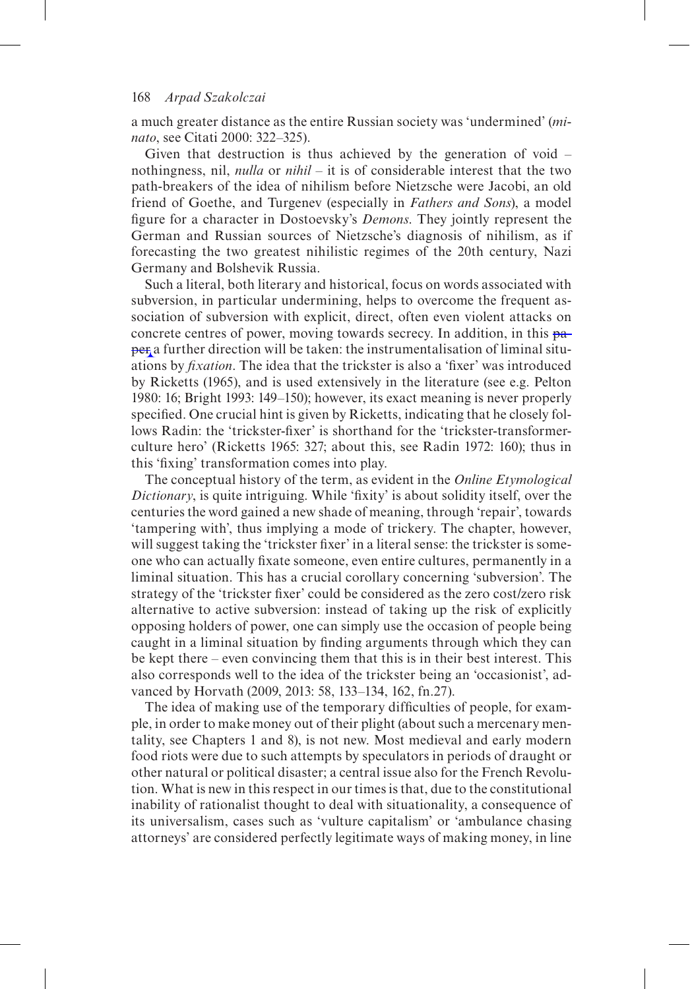a much greater distance as the entire Russian society was 'undermined' (*minato*, see Citati 2000: 322–325).

Given that destruction is thus achieved by the generation of void – nothingness, nil, *nulla* or *nihil* – it is of considerable interest that the two path-breakers of the idea of nihilism before Nietzsche were Jacobi, an old friend of Goethe, and Turgenev (especially in *Fathers and Sons*), a model figure for a character in Dostoevsky's *Demons*. They jointly represent the German and Russian sources of Nietzsche's diagnosis of nihilism, as if forecasting the two greatest nihilistic regimes of the 20th century, Nazi Germany and Bolshevik Russia.

Such a literal, both literary and historical, focus on words associated with subversion, in particular undermining, helps to overcome the frequent association of subversion with explicit, direct, often even violent attacks on concrete centres of power, moving towards secrecy. In addition, in this paper a further direction will be taken: the instrumentalisation of liminal situations by *fixation*. The idea that the trickster is also a 'fixer' was introduced by Ricketts (1965), and is used extensively in the literature (see e.g. Pelton 1980: 16; Bright 1993: 149–150); however, its exact meaning is never properly specified. One crucial hint is given by Ricketts, indicating that he closely follows Radin: the 'trickster-fixer' is shorthand for the 'trickster-transformerculture hero' (Ricketts 1965: 327; about this, see Radin 1972: 160); thus in this 'fixing' transformation comes into play.

The conceptual history of the term, as evident in the *Online Etymological Dictionary*, is quite intriguing. While 'fixity' is about solidity itself, over the centuries the word gained a new shade of meaning, through 'repair', towards 'tampering with', thus implying a mode of trickery. The chapter, however, will suggest taking the 'trickster fixer' in a literal sense: the trickster is someone who can actually fixate someone, even entire cultures, permanently in a liminal situation. This has a crucial corollary concerning 'subversion'. The strategy of the 'trickster fixer' could be considered as the zero cost/zero risk alternative to active subversion: instead of taking up the risk of explicitly opposing holders of power, one can simply use the occasion of people being caught in a liminal situation by finding arguments through which they can be kept there – even convincing them that this is in their best interest. This also corresponds well to the idea of the trickster being an 'occasionist', advanced by Horvath (2009, 2013: 58, 133–134, 162, fn.27).

The idea of making use of the temporary difficulties of people, for example, in order to make money out of their plight (about such a mercenary mentality, see Chapters 1 and 8), is not new. Most medieval and early modern food riots were due to such attempts by speculators in periods of draught or other natural or political disaster; a central issue also for the French Revolution. What is new in this respect in our times is that, due to the constitutional inability of rationalist thought to deal with situationality, a consequence of its universalism, cases such as 'vulture capitalism' or 'ambulance chasing attorneys' are considered perfectly legitimate ways of making money, in line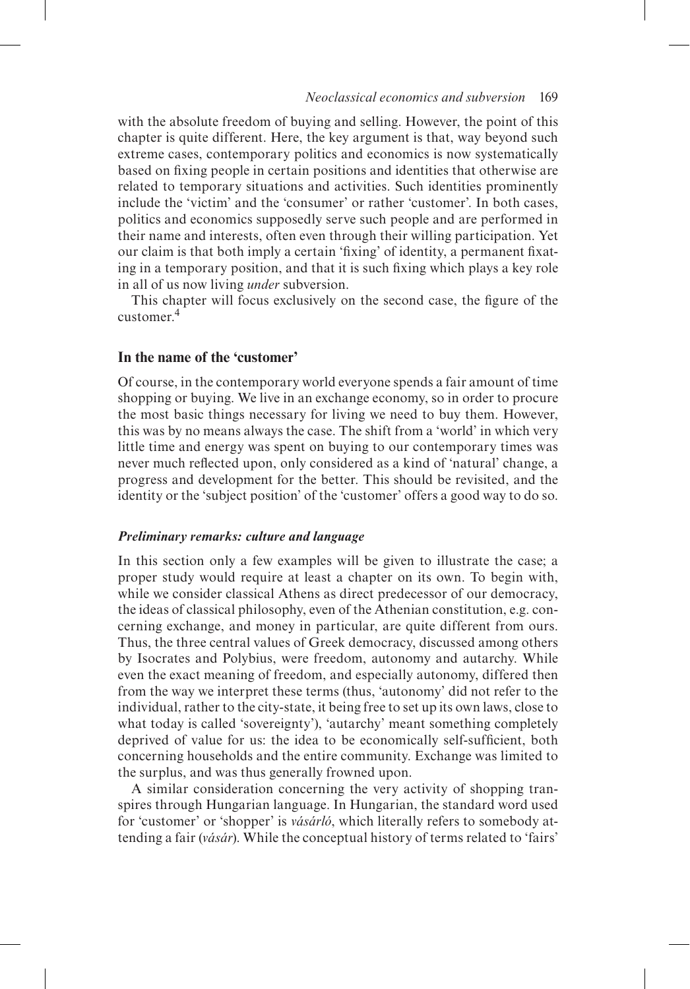## *Neoclassical economics and subversion* 169

with the absolute freedom of buying and selling. However, the point of this chapter is quite different. Here, the key argument is that, way beyond such extreme cases, contemporary politics and economics is now systematically based on fixing people in certain positions and identities that otherwise are related to temporary situations and activities. Such identities prominently include the 'victim' and the 'consumer' or rather 'customer'. In both cases, politics and economics supposedly serve such people and are performed in their name and interests, often even through their willing participation. Yet our claim is that both imply a certain 'fixing' of identity, a permanent fixating in a temporary position, and that it is such fixing which plays a key role in all of us now living *under* subversion.

This chapter will focus exclusively on the second case, the figure of the customer<sup>4</sup>

# **In the name of the 'customer'**

Of course, in the contemporary world everyone spends a fair amount of time shopping or buying. We live in an exchange economy, so in order to procure the most basic things necessary for living we need to buy them. However, this was by no means always the case. The shift from a 'world' in which very little time and energy was spent on buying to our contemporary times was never much reflected upon, only considered as a kind of 'natural' change, a progress and development for the better. This should be revisited, and the identity or the 'subject position' of the 'customer' offers a good way to do so.

#### *Preliminary remarks: culture and language*

In this section only a few examples will be given to illustrate the case; a proper study would require at least a chapter on its own. To begin with, while we consider classical Athens as direct predecessor of our democracy, the ideas of classical philosophy, even of the Athenian constitution, e.g. concerning exchange, and money in particular, are quite different from ours. Thus, the three central values of Greek democracy, discussed among others by Isocrates and Polybius, were freedom, autonomy and autarchy. While even the exact meaning of freedom, and especially autonomy, differed then from the way we interpret these terms (thus, 'autonomy' did not refer to the individual, rather to the city-state, it being free to set up its own laws, close to what today is called 'sovereignty'), 'autarchy' meant something completely deprived of value for us: the idea to be economically self-sufficient, both concerning households and the entire community. Exchange was limited to the surplus, and was thus generally frowned upon.

A similar consideration concerning the very activity of shopping transpires through Hungarian language. In Hungarian, the standard word used for 'customer' or 'shopper' is *vásárló*, which literally refers to somebody attending a fair (*vásár*). While the conceptual history of terms related to 'fairs'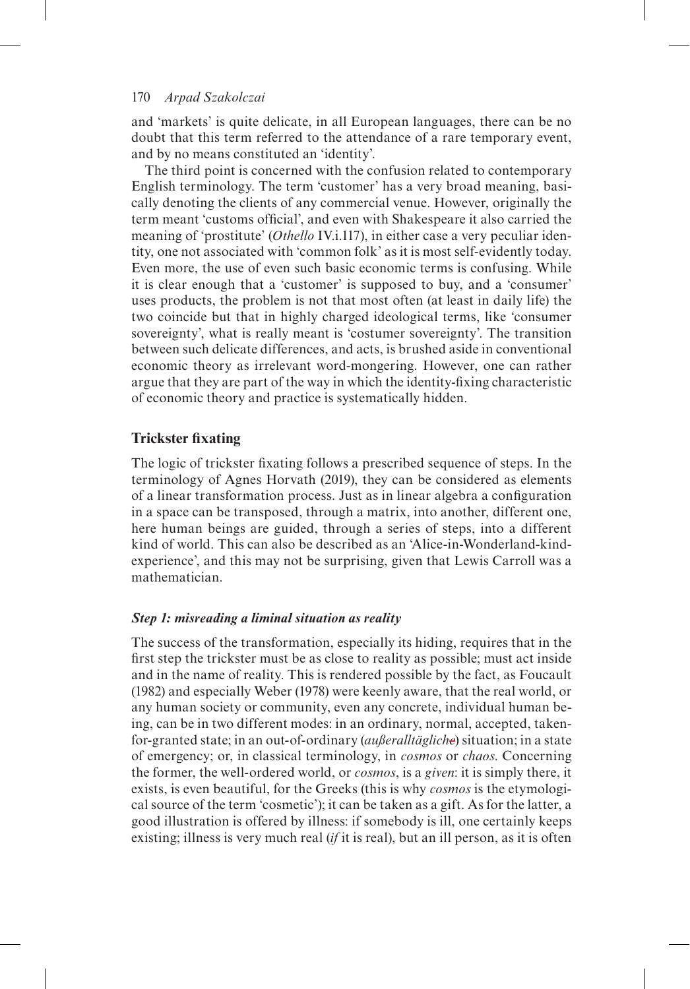and 'markets' is quite delicate, in all European languages, there can be no doubt that this term referred to the attendance of a rare temporary event, and by no means constituted an 'identity'.

The third point is concerned with the confusion related to contemporary English terminology. The term 'customer' has a very broad meaning, basically denoting the clients of any commercial venue. However, originally the term meant 'customs official', and even with Shakespeare it also carried the meaning of 'prostitute' (*Othello* IV.i.117), in either case a very peculiar identity, one not associated with 'common folk' as it is most self-evidently today. Even more, the use of even such basic economic terms is confusing. While it is clear enough that a 'customer' is supposed to buy, and a 'consumer' uses products, the problem is not that most often (at least in daily life) the two coincide but that in highly charged ideological terms, like 'consumer sovereignty', what is really meant is 'costumer sovereignty'. The transition between such delicate differences, and acts, is brushed aside in conventional economic theory as irrelevant word-mongering. However, one can rather argue that they are part of the way in which the identity-fixing characteristic of economic theory and practice is systematically hidden.

# **Trickster fixating**

The logic of trickster fixating follows a prescribed sequence of steps. In the terminology of Agnes Horvath (2019), they can be considered as elements of a linear transformation process. Just as in linear algebra a configuration in a space can be transposed, through a matrix, into another, different one, here human beings are guided, through a series of steps, into a different kind of world. This can also be described as an 'Alice-in-Wonderland-kindexperience', and this may not be surprising, given that Lewis Carroll was a mathematician.

# *Step 1: misreading a liminal situation as reality*

The success of the transformation, especially its hiding, requires that in the first step the trickster must be as close to reality as possible; must act inside and in the name of reality. This is rendered possible by the fact, as Foucault (1982) and especially Weber (1978) were keenly aware, that the real world, or any human society or community, even any concrete, individual human being, can be in two different modes: in an ordinary, normal, accepted, takenfor-granted state; in an out-of-ordinary (*außeralltägliche*) situation; in a state of emergency; or, in classical terminology, in *cosmos* or *chaos*. Concerning the former, the well-ordered world, or *cosmos*, is a *given*: it is simply there, it exists, is even beautiful, for the Greeks (this is why *cosmos* is the etymological source of the term 'cosmetic'); it can be taken as a gift. As for the latter, a good illustration is offered by illness: if somebody is ill, one certainly keeps existing; illness is very much real (*if* it is real), but an ill person, as it is often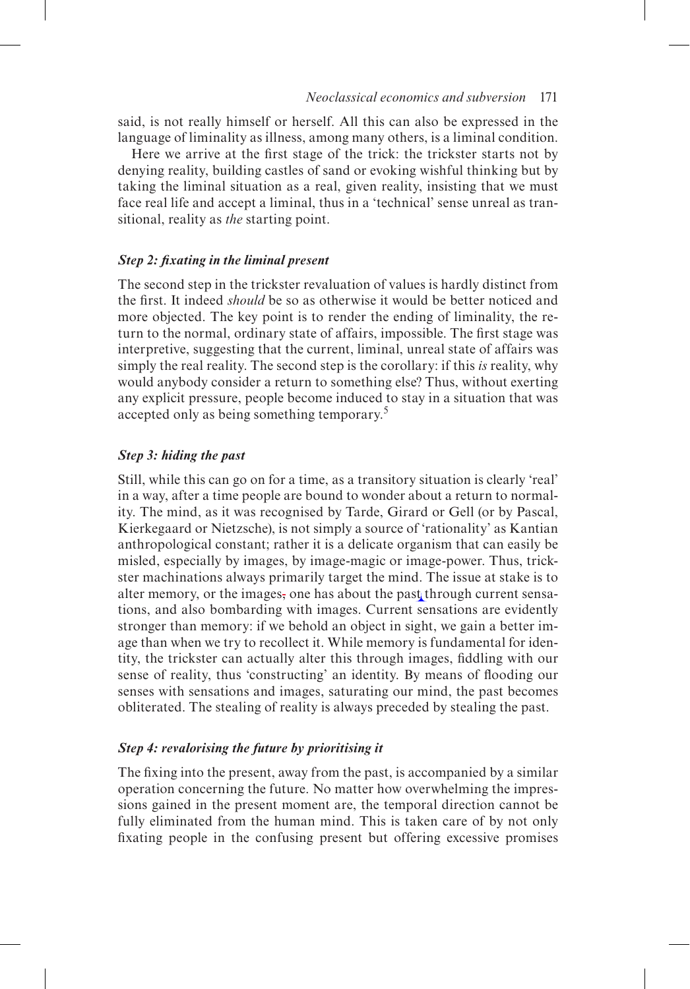said, is not really himself or herself. All this can also be expressed in the language of liminality as illness, among many others, is a liminal condition.

Here we arrive at the first stage of the trick: the trickster starts not by denying reality, building castles of sand or evoking wishful thinking but by taking the liminal situation as a real, given reality, insisting that we must face real life and accept a liminal, thus in a 'technical' sense unreal as transitional, reality as *the* starting point.

## *Step 2: fixating in the liminal present*

The second step in the trickster revaluation of values is hardly distinct from the first. It indeed *should* be so as otherwise it would be better noticed and more objected. The key point is to render the ending of liminality, the return to the normal, ordinary state of affairs, impossible. The first stage was interpretive, suggesting that the current, liminal, unreal state of affairs was simply the real reality. The second step is the corollary: if this *is* reality, why would anybody consider a return to something else? Thus, without exerting any explicit pressure, people become induced to stay in a situation that was accepted only as being something temporary.<sup>5</sup>

## *Step 3: hiding the past*

Still, while this can go on for a time, as a transitory situation is clearly 'real' in a way, after a time people are bound to wonder about a return to normality. The mind, as it was recognised by Tarde, Girard or Gell (or by Pascal, Kierkegaard or Nietzsche), is not simply a source of 'rationality' as Kantian anthropological constant; rather it is a delicate organism that can easily be misled, especially by images, by image-magic or image-power. Thus, trickster machinations always primarily target the mind. The issue at stake is to alter memory, or the images, one has about the past through current sensations, and also bombarding with images. Current sensations are evidently stronger than memory: if we behold an object in sight, we gain a better image than when we try to recollect it. While memory is fundamental for identity, the trickster can actually alter this through images, fiddling with our sense of reality, thus 'constructing' an identity. By means of flooding our senses with sensations and images, saturating our mind, the past becomes obliterated. The stealing of reality is always preceded by stealing the past.

## *Step 4: revalorising the future by prioritising it*

The fixing into the present, away from the past, is accompanied by a similar operation concerning the future. No matter how overwhelming the impressions gained in the present moment are, the temporal direction cannot be fully eliminated from the human mind. This is taken care of by not only fixating people in the confusing present but offering excessive promises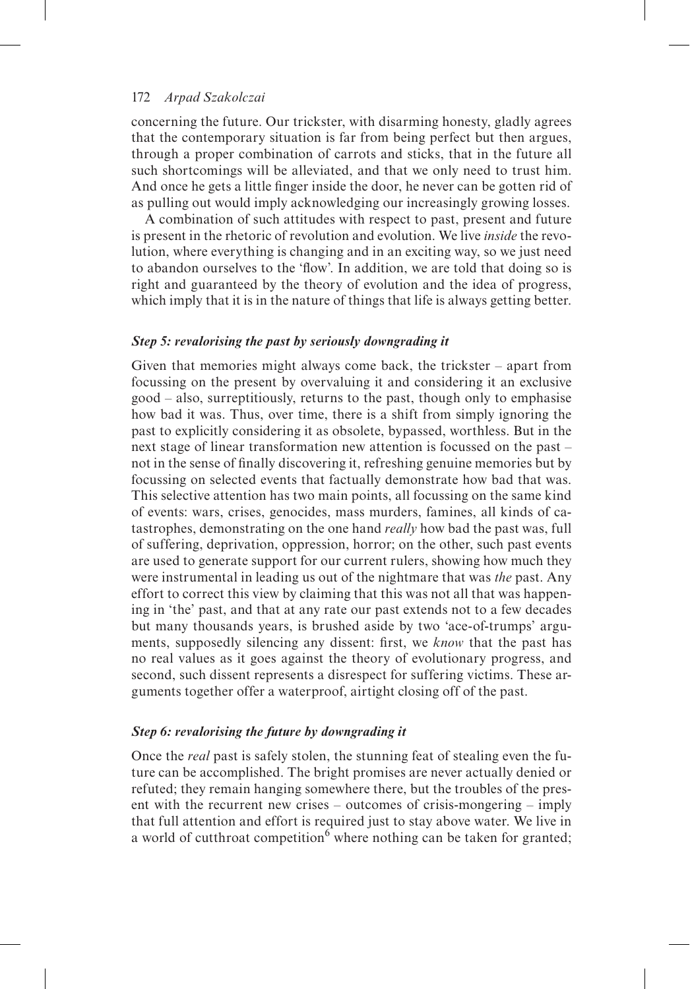concerning the future. Our trickster, with disarming honesty, gladly agrees that the contemporary situation is far from being perfect but then argues, through a proper combination of carrots and sticks, that in the future all such shortcomings will be alleviated, and that we only need to trust him. And once he gets a little finger inside the door, he never can be gotten rid of as pulling out would imply acknowledging our increasingly growing losses.

A combination of such attitudes with respect to past, present and future is present in the rhetoric of revolution and evolution. We live *inside* the revolution, where everything is changing and in an exciting way, so we just need to abandon ourselves to the 'flow'. In addition, we are told that doing so is right and guaranteed by the theory of evolution and the idea of progress, which imply that it is in the nature of things that life is always getting better.

# *Step 5: revalorising the past by seriously downgrading it*

Given that memories might always come back, the trickster – apart from focussing on the present by overvaluing it and considering it an exclusive good – also, surreptitiously, returns to the past, though only to emphasise how bad it was. Thus, over time, there is a shift from simply ignoring the past to explicitly considering it as obsolete, bypassed, worthless. But in the next stage of linear transformation new attention is focussed on the past – not in the sense of finally discovering it, refreshing genuine memories but by focussing on selected events that factually demonstrate how bad that was. This selective attention has two main points, all focussing on the same kind of events: wars, crises, genocides, mass murders, famines, all kinds of catastrophes, demonstrating on the one hand *really* how bad the past was, full of suffering, deprivation, oppression, horror; on the other, such past events are used to generate support for our current rulers, showing how much they were instrumental in leading us out of the nightmare that was *the* past. Any effort to correct this view by claiming that this was not all that was happening in 'the' past, and that at any rate our past extends not to a few decades but many thousands years, is brushed aside by two 'ace-of-trumps' arguments, supposedly silencing any dissent: first, we *know* that the past has no real values as it goes against the theory of evolutionary progress, and second, such dissent represents a disrespect for suffering victims. These arguments together offer a waterproof, airtight closing off of the past.

## *Step 6: revalorising the future by downgrading it*

Once the *real* past is safely stolen, the stunning feat of stealing even the future can be accomplished. The bright promises are never actually denied or refuted; they remain hanging somewhere there, but the troubles of the present with the recurrent new crises – outcomes of crisis-mongering – imply that full attention and effort is required just to stay above water. We live in a world of cutthroat competition<sup>6</sup> where nothing can be taken for granted;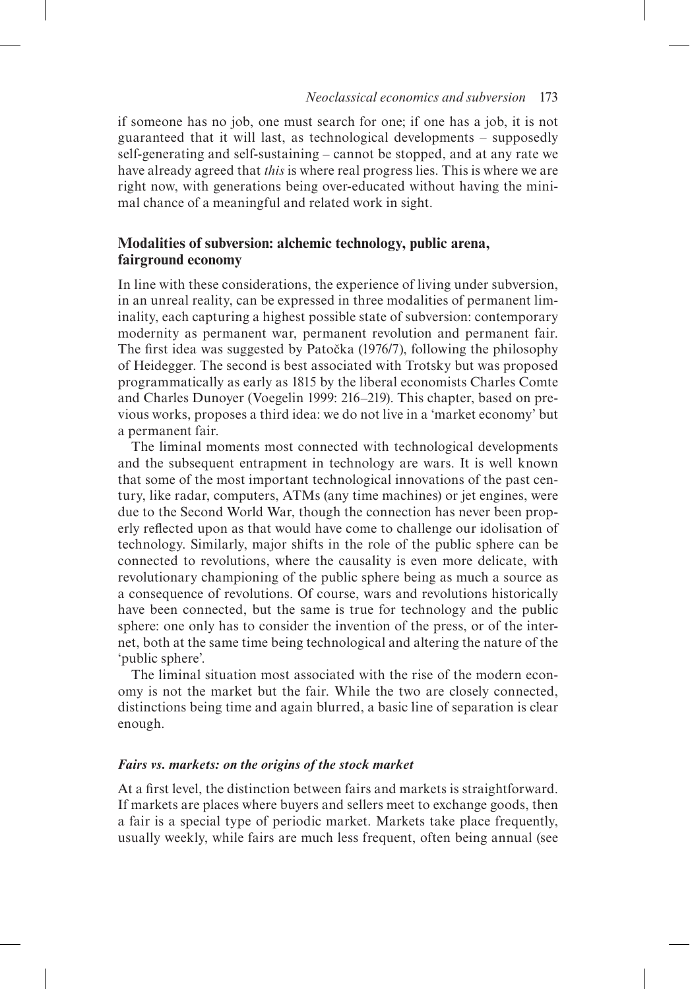if someone has no job, one must search for one; if one has a job, it is not guaranteed that it will last, as technological developments – supposedly self-generating and self-sustaining – cannot be stopped, and at any rate we have already agreed that *this* is where real progress lies. This is where we are right now, with generations being over-educated without having the minimal chance of a meaningful and related work in sight.

# **Modalities of subversion: alchemic technology, public arena, fairground economy**

In line with these considerations, the experience of living under subversion, in an unreal reality, can be expressed in three modalities of permanent liminality, each capturing a highest possible state of subversion: contemporary modernity as permanent war, permanent revolution and permanent fair. The first idea was suggested by Patočka (1976/7), following the philosophy of Heidegger. The second is best associated with Trotsky but was proposed programmatically as early as 1815 by the liberal economists Charles Comte and Charles Dunoyer (Voegelin 1999: 216–219). This chapter, based on previous works, proposes a third idea: we do not live in a 'market economy' but a permanent fair.

The liminal moments most connected with technological developments and the subsequent entrapment in technology are wars. It is well known that some of the most important technological innovations of the past century, like radar, computers, ATMs (any time machines) or jet engines, were due to the Second World War, though the connection has never been properly reflected upon as that would have come to challenge our idolisation of technology. Similarly, major shifts in the role of the public sphere can be connected to revolutions, where the causality is even more delicate, with revolutionary championing of the public sphere being as much a source as a consequence of revolutions. Of course, wars and revolutions historically have been connected, but the same is true for technology and the public sphere: one only has to consider the invention of the press, or of the internet, both at the same time being technological and altering the nature of the 'public sphere'.

The liminal situation most associated with the rise of the modern economy is not the market but the fair. While the two are closely connected, distinctions being time and again blurred, a basic line of separation is clear enough.

# *Fairs vs. markets: on the origins of the stock market*

At a first level, the distinction between fairs and markets is straightforward. If markets are places where buyers and sellers meet to exchange goods, then a fair is a special type of periodic market. Markets take place frequently, usually weekly, while fairs are much less frequent, often being annual (see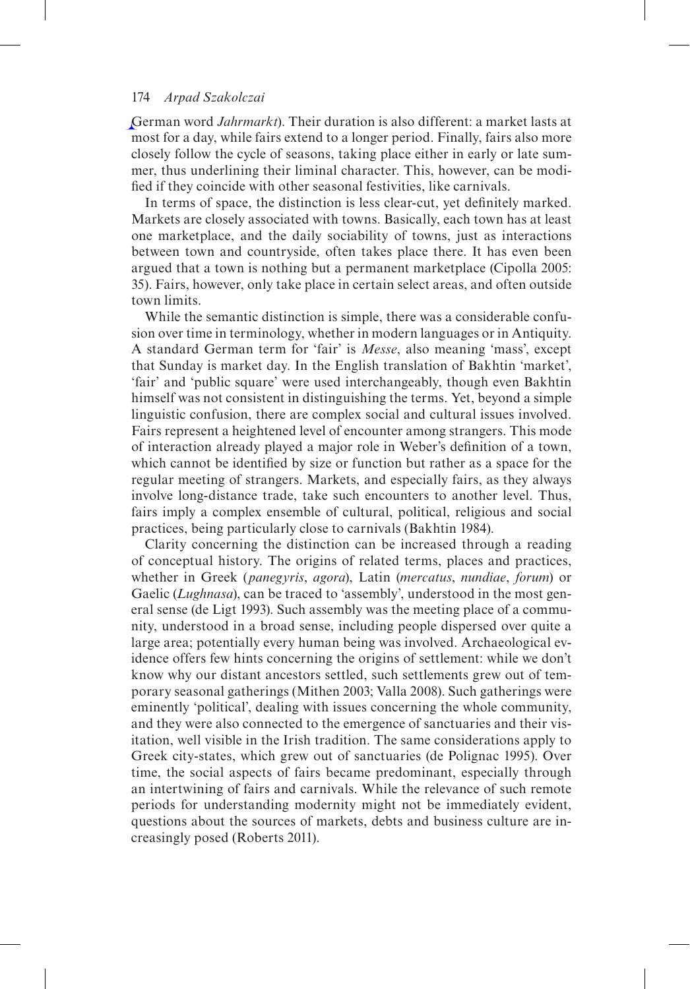German word *Jahrmarkt*). Their duration is also different: a market lasts at most for a day, while fairs extend to a longer period. Finally, fairs also more closely follow the cycle of seasons, taking place either in early or late summer, thus underlining their liminal character. This, however, can be modified if they coincide with other seasonal festivities, like carnivals.

In terms of space, the distinction is less clear-cut, yet definitely marked. Markets are closely associated with towns. Basically, each town has at least one marketplace, and the daily sociability of towns, just as interactions between town and countryside, often takes place there. It has even been argued that a town is nothing but a permanent marketplace (Cipolla 2005: 35). Fairs, however, only take place in certain select areas, and often outside town limits.

While the semantic distinction is simple, there was a considerable confusion over time in terminology, whether in modern languages or in Antiquity. A standard German term for 'fair' is *Messe*, also meaning 'mass', except that Sunday is market day. In the English translation of Bakhtin 'market', 'fair' and 'public square' were used interchangeably, though even Bakhtin himself was not consistent in distinguishing the terms. Yet, beyond a simple linguistic confusion, there are complex social and cultural issues involved. Fairs represent a heightened level of encounter among strangers. This mode of interaction already played a major role in Weber's definition of a town, which cannot be identified by size or function but rather as a space for the regular meeting of strangers. Markets, and especially fairs, as they always involve long-distance trade, take such encounters to another level. Thus, fairs imply a complex ensemble of cultural, political, religious and social practices, being particularly close to carnivals (Bakhtin 1984).

Clarity concerning the distinction can be increased through a reading of conceptual history. The origins of related terms, places and practices, whether in Greek (*panegyris*, *agora*), Latin (*mercatus*, *nundiae*, *forum*) or Gaelic (*Lughnasa*), can be traced to 'assembly', understood in the most general sense (de Ligt 1993). Such assembly was the meeting place of a community, understood in a broad sense, including people dispersed over quite a large area; potentially every human being was involved. Archaeological evidence offers few hints concerning the origins of settlement: while we don't know why our distant ancestors settled, such settlements grew out of temporary seasonal gatherings (Mithen 2003; Valla 2008). Such gatherings were eminently 'political', dealing with issues concerning the whole community, and they were also connected to the emergence of sanctuaries and their visitation, well visible in the Irish tradition. The same considerations apply to Greek city-states, which grew out of sanctuaries (de Polignac 1995). Over time, the social aspects of fairs became predominant, especially through an intertwining of fairs and carnivals. While the relevance of such remote periods for understanding modernity might not be immediately evident, questions about the sources of markets, debts and business culture are increasingly posed (Roberts 2011).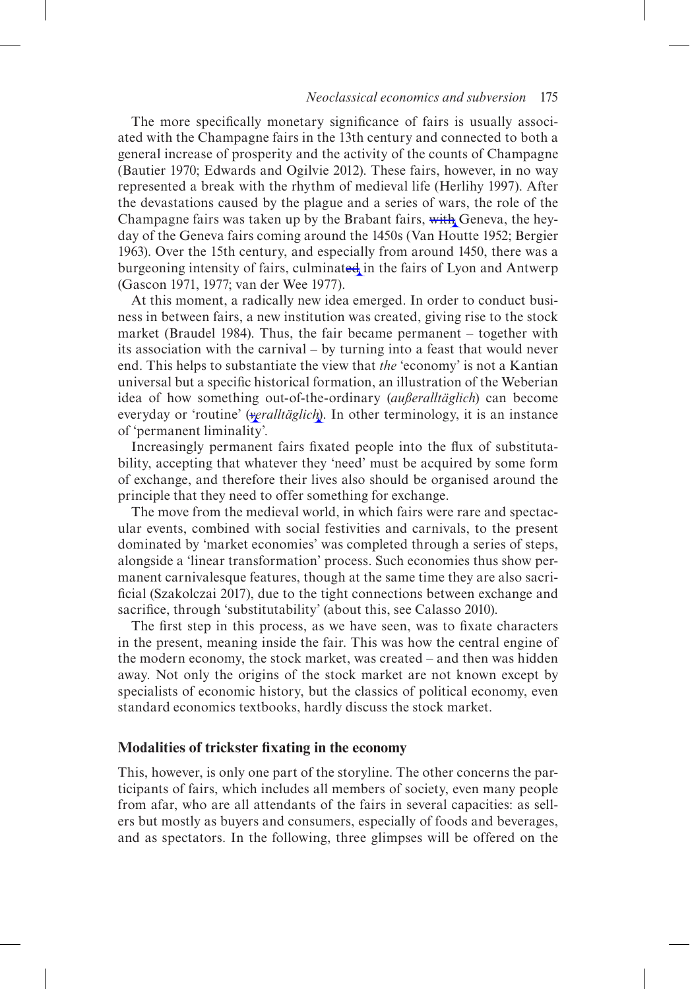## *Neoclassical economics and subversion* 175

The more specifically monetary significance of fairs is usually associated with the Champagne fairs in the 13th century and connected to both a general increase of prosperity and the activity of the counts of Champagne (Bautier 1970; Edwards and Ogilvie 2012). These fairs, however, in no way represented a break with the rhythm of medieval life (Herlihy 1997). After the devastations caused by the plague and a series of wars, the role of the Champagne fairs was taken up by the Brabant fairs, with Geneva, the heyday of the Geneva fairs coming around the 1450s (Van Houtte 1952; Bergier 1963). Over the 15th century, and especially from around 1450, there was a burgeoning intensity of fairs, culminated in the fairs of Lyon and Antwerp (Gascon 1971, 1977; van der Wee 1977).

At this moment, a radically new idea emerged. In order to conduct business in between fairs, a new institution was created, giving rise to the stock market (Braudel 1984). Thus, the fair became permanent – together with its association with the carnival – by turning into a feast that would never end. This helps to substantiate the view that *the* 'economy' is not a Kantian universal but a specific historical formation, an illustration of the Weberian idea of how something out-of-the-ordinary (*außeralltäglich*) can become everyday or 'routine' (*veralltäglich*). In other terminology, it is an instance of 'permanent liminality'.

Increasingly permanent fairs fixated people into the flux of substitutability, accepting that whatever they 'need' must be acquired by some form of exchange, and therefore their lives also should be organised around the principle that they need to offer something for exchange.

The move from the medieval world, in which fairs were rare and spectacular events, combined with social festivities and carnivals, to the present dominated by 'market economies' was completed through a series of steps, alongside a 'linear transformation' process. Such economies thus show permanent carnivalesque features, though at the same time they are also sacrificial (Szakolczai 2017), due to the tight connections between exchange and sacrifice, through 'substitutability' (about this, see Calasso 2010).

The first step in this process, as we have seen, was to fixate characters in the present, meaning inside the fair. This was how the central engine of the modern economy, the stock market, was created – and then was hidden away. Not only the origins of the stock market are not known except by specialists of economic history, but the classics of political economy, even standard economics textbooks, hardly discuss the stock market.

# **Modalities of trickster fixating in the economy**

This, however, is only one part of the storyline. The other concerns the participants of fairs, which includes all members of society, even many people from afar, who are all attendants of the fairs in several capacities: as sellers but mostly as buyers and consumers, especially of foods and beverages, and as spectators. In the following, three glimpses will be offered on the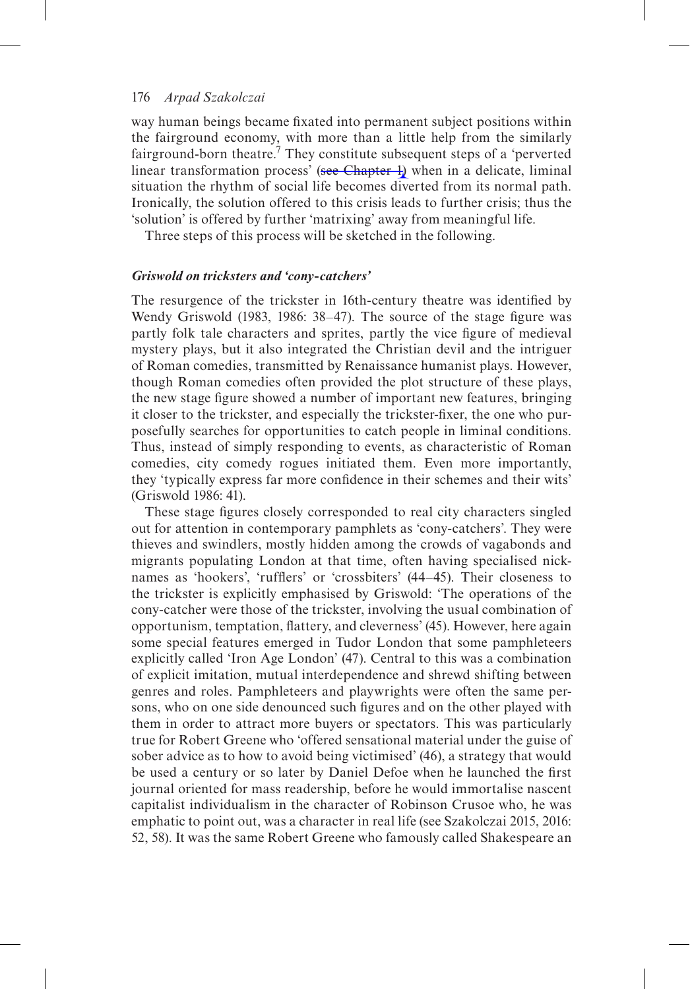way human beings became fixated into permanent subject positions within the fairground economy, with more than a little help from the similarly fairground-born theatre.<sup>7</sup> They constitute subsequent steps of a 'perverted linear transformation process' (see Chapter 4) when in a delicate, liminal situation the rhythm of social life becomes diverted from its normal path. Ironically, the solution offered to this crisis leads to further crisis; thus the 'solution' is offered by further 'matrixing' away from meaningful life.

Three steps of this process will be sketched in the following.

#### *Griswold on tricksters and 'cony-catchers'*

The resurgence of the trickster in 16th-century theatre was identified by Wendy Griswold (1983, 1986: 38–47). The source of the stage figure was partly folk tale characters and sprites, partly the vice figure of medieval mystery plays, but it also integrated the Christian devil and the intriguer of Roman comedies, transmitted by Renaissance humanist plays. However, though Roman comedies often provided the plot structure of these plays, the new stage figure showed a number of important new features, bringing it closer to the trickster, and especially the trickster-fixer, the one who purposefully searches for opportunities to catch people in liminal conditions. Thus, instead of simply responding to events, as characteristic of Roman comedies, city comedy rogues initiated them. Even more importantly, they 'typically express far more confidence in their schemes and their wits' (Griswold 1986: 41).

These stage figures closely corresponded to real city characters singled out for attention in contemporary pamphlets as 'cony-catchers'. They were thieves and swindlers, mostly hidden among the crowds of vagabonds and migrants populating London at that time, often having specialised nicknames as 'hookers', 'rufflers' or 'crossbiters' (44–45). Their closeness to the trickster is explicitly emphasised by Griswold: 'The operations of the cony-catcher were those of the trickster, involving the usual combination of opportunism, temptation, flattery, and cleverness' (45). However, here again some special features emerged in Tudor London that some pamphleteers explicitly called 'Iron Age London' (47). Central to this was a combination of explicit imitation, mutual interdependence and shrewd shifting between genres and roles. Pamphleteers and playwrights were often the same persons, who on one side denounced such figures and on the other played with them in order to attract more buyers or spectators. This was particularly true for Robert Greene who 'offered sensational material under the guise of sober advice as to how to avoid being victimised' (46), a strategy that would be used a century or so later by Daniel Defoe when he launched the first journal oriented for mass readership, before he would immortalise nascent capitalist individualism in the character of Robinson Crusoe who, he was emphatic to point out, was a character in real life (see Szakolczai 2015, 2016: 52, 58). It was the same Robert Greene who famously called Shakespeare an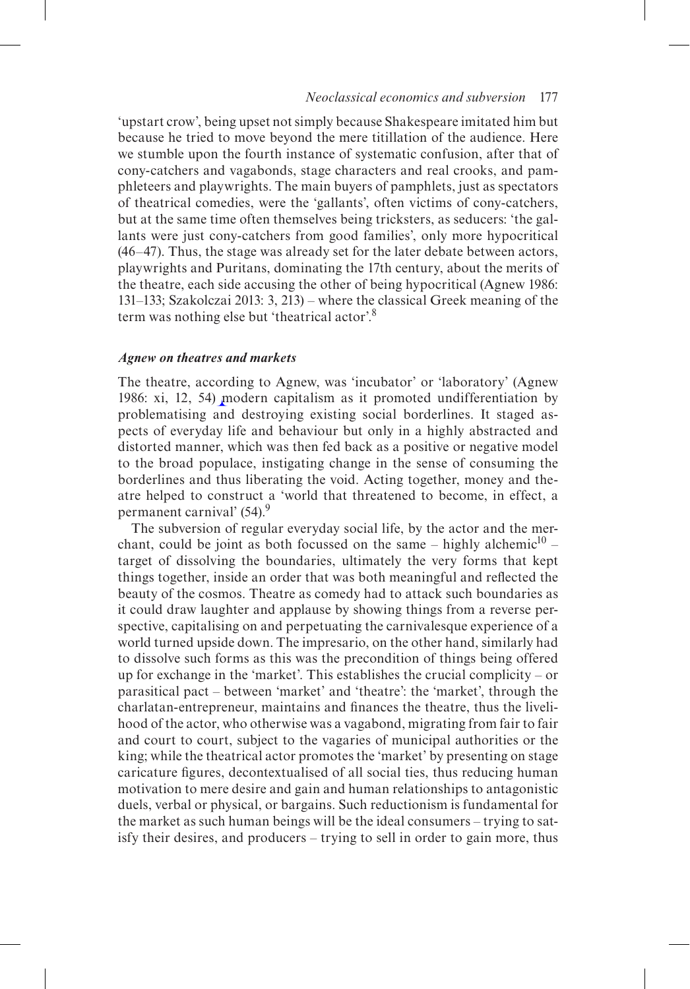## *Neoclassical economics and subversion* 177

'upstart crow', being upset not simply because Shakespeare imitated him but because he tried to move beyond the mere titillation of the audience. Here we stumble upon the fourth instance of systematic confusion, after that of cony-catchers and vagabonds, stage characters and real crooks, and pamphleteers and playwrights. The main buyers of pamphlets, just as spectators of theatrical comedies, were the 'gallants', often victims of cony-catchers, but at the same time often themselves being tricksters, as seducers: 'the gallants were just cony-catchers from good families', only more hypocritical (46–47). Thus, the stage was already set for the later debate between actors, playwrights and Puritans, dominating the 17th century, about the merits of the theatre, each side accusing the other of being hypocritical (Agnew 1986: 131–133; Szakolczai 2013: 3, 213) – where the classical Greek meaning of the term was nothing else but 'theatrical actor'.8

#### *Agnew on theatres and markets*

The theatre, according to Agnew, was 'incubator' or 'laboratory' (Agnew 1986: xi, 12, 54) modern capitalism as it promoted undifferentiation by problematising and destroying existing social borderlines. It staged aspects of everyday life and behaviour but only in a highly abstracted and distorted manner, which was then fed back as a positive or negative model to the broad populace, instigating change in the sense of consuming the borderlines and thus liberating the void. Acting together, money and theatre helped to construct a 'world that threatened to become, in effect, a permanent carnival' (54).<sup>9</sup>

The subversion of regular everyday social life, by the actor and the merchant, could be joint as both focussed on the same – highly alchemic<sup>10</sup> – target of dissolving the boundaries, ultimately the very forms that kept things together, inside an order that was both meaningful and reflected the beauty of the cosmos. Theatre as comedy had to attack such boundaries as it could draw laughter and applause by showing things from a reverse perspective, capitalising on and perpetuating the carnivalesque experience of a world turned upside down. The impresario, on the other hand, similarly had to dissolve such forms as this was the precondition of things being offered up for exchange in the 'market'. This establishes the crucial complicity – or parasitical pact – between 'market' and 'theatre': the 'market', through the charlatan-entrepreneur, maintains and finances the theatre, thus the livelihood of the actor, who otherwise was a vagabond, migrating from fair to fair and court to court, subject to the vagaries of municipal authorities or the king; while the theatrical actor promotes the 'market' by presenting on stage caricature figures, decontextualised of all social ties, thus reducing human motivation to mere desire and gain and human relationships to antagonistic duels, verbal or physical, or bargains. Such reductionism is fundamental for the market as such human beings will be the ideal consumers – trying to satisfy their desires, and producers – trying to sell in order to gain more, thus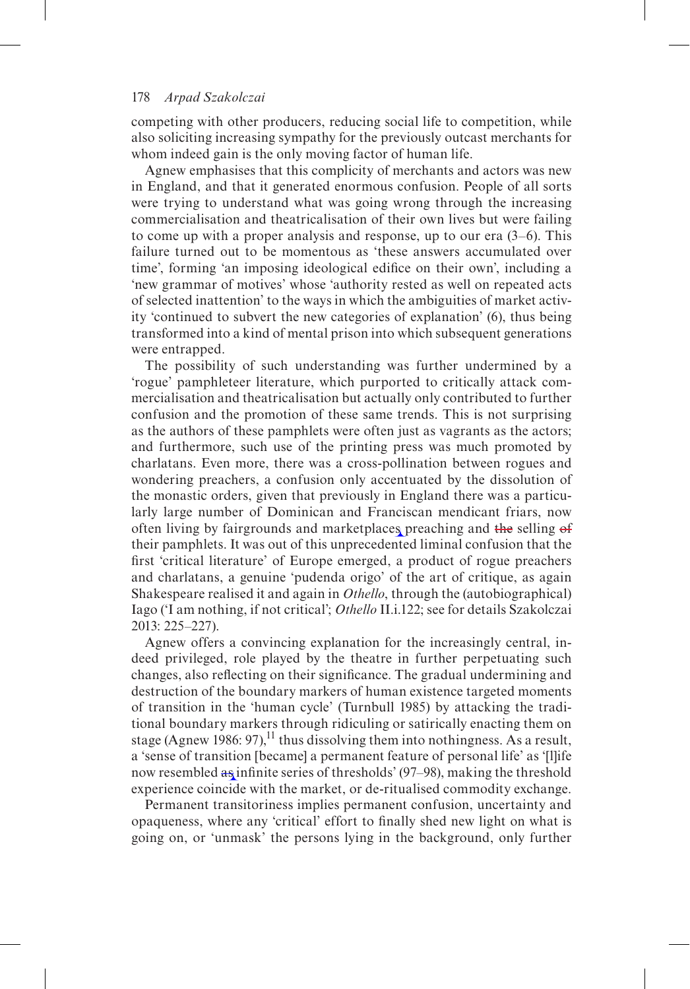competing with other producers, reducing social life to competition, while also soliciting increasing sympathy for the previously outcast merchants for whom indeed gain is the only moving factor of human life.

Agnew emphasises that this complicity of merchants and actors was new in England, and that it generated enormous confusion. People of all sorts were trying to understand what was going wrong through the increasing commercialisation and theatricalisation of their own lives but were failing to come up with a proper analysis and response, up to our era (3–6). This failure turned out to be momentous as 'these answers accumulated over time', forming 'an imposing ideological edifice on their own', including a 'new grammar of motives' whose 'authority rested as well on repeated acts of selected inattention' to the ways in which the ambiguities of market activity 'continued to subvert the new categories of explanation' (6), thus being transformed into a kind of mental prison into which subsequent generations were entrapped.

The possibility of such understanding was further undermined by a 'rogue' pamphleteer literature, which purported to critically attack commercialisation and theatricalisation but actually only contributed to further confusion and the promotion of these same trends. This is not surprising as the authors of these pamphlets were often just as vagrants as the actors; and furthermore, such use of the printing press was much promoted by charlatans. Even more, there was a cross-pollination between rogues and wondering preachers, a confusion only accentuated by the dissolution of the monastic orders, given that previously in England there was a particularly large number of Dominican and Franciscan mendicant friars, now often living by fairgrounds and marketplaces preaching and the selling of their pamphlets. It was out of this unprecedented liminal confusion that the first 'critical literature' of Europe emerged, a product of rogue preachers and charlatans, a genuine 'pudenda origo' of the art of critique, as again Shakespeare realised it and again in *Othello*, through the (autobiographical) Iago ('I am nothing, if not critical'; *Othello* II.i.122; see for details Szakolczai 2013: 225–227).

Agnew offers a convincing explanation for the increasingly central, indeed privileged, role played by the theatre in further perpetuating such changes, also reflecting on their significance. The gradual undermining and destruction of the boundary markers of human existence targeted moments of transition in the 'human cycle' (Turnbull 1985) by attacking the traditional boundary markers through ridiculing or satirically enacting them on stage (Agnew 1986: 97), <sup>11</sup> thus dissolving them into nothingness. As a result, a 'sense of transition [became] a permanent feature of personal life' as '[l]ife now resembled as infinite series of thresholds' (97–98), making the threshold experience coincide with the market, or de-ritualised commodity exchange.

Permanent transitoriness implies permanent confusion, uncertainty and opaqueness, where any 'critical' effort to finally shed new light on what is going on, or 'unmask' the persons lying in the background, only further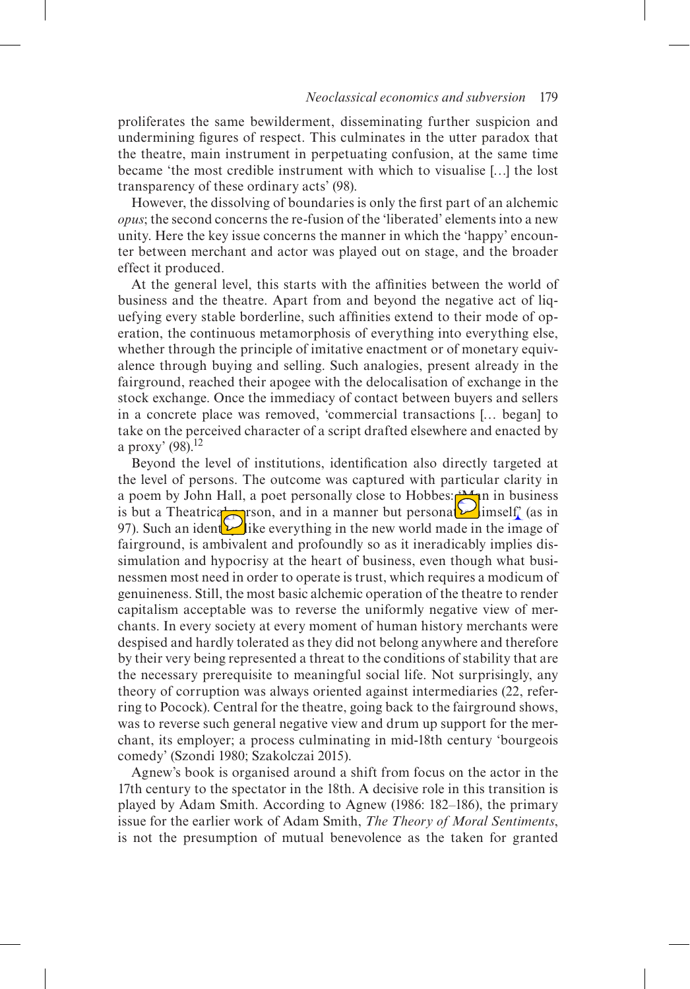proliferates the same bewilderment, disseminating further suspicion and undermining figures of respect. This culminates in the utter paradox that the theatre, main instrument in perpetuating confusion, at the same time became 'the most credible instrument with which to visualise […] the lost transparency of these ordinary acts' (98).

However, the dissolving of boundaries is only the first part of an alchemic *opus*; the second concerns the re-fusion of the 'liberated' elements into a new unity. Here the key issue concerns the manner in which the 'happy' encounter between merchant and actor was played out on stage, and the broader effect it produced.

At the general level, this starts with the affinities between the world of business and the theatre. Apart from and beyond the negative act of liquefying every stable borderline, such affinities extend to their mode of operation, the continuous metamorphosis of everything into everything else, whether through the principle of imitative enactment or of monetary equivalence through buying and selling. Such analogies, present already in the fairground, reached their apogee with the delocalisation of exchange in the stock exchange. Once the immediacy of contact between buyers and sellers in a concrete place was removed, 'commercial transactions [… began] to take on the perceived character of a script drafted elsewhere and enacted by a proxy'  $(98)$ <sup>12</sup>

Beyond the level of institutions, identification also directly targeted at the level of persons. The outcome was captured with particular clarity in a poem by John Hall, a poet personally close to Hobbes:  $\mathbb{A}_n$  in business is but a Theatrical person, and in a manner but personal imself' (as in 97). Such an identity like everything in the new world made in the image of fairground, is ambivalent and profoundly so as it ineradicably implies dissimulation and hypocrisy at the heart of business, even though what businessmen most need in order to operate is trust, which requires a modicum of genuineness. Still, the most basic alchemic operation of the theatre to render capitalism acceptable was to reverse the uniformly negative view of merchants. In every society at every moment of human history merchants were despised and hardly tolerated as they did not belong anywhere and therefore by their very being represented a threat to the conditions of stability that are the necessary prerequisite to meaningful social life. Not surprisingly, any theory of corruption was always oriented against intermediaries (22, referring to Pocock). Central for the theatre, going back to the fairground shows, was to reverse such general negative view and drum up support for the merchant, its employer; a process culminating in mid-18th century 'bourgeois comedy' (Szondi 1980; Szakolczai 2015).

Agnew's book is organised around a shift from focus on the actor in the 17th century to the spectator in the 18th. A decisive role in this transition is played by Adam Smith. According to Agnew (1986: 182–186), the primary issue for the earlier work of Adam Smith, *The Theory of Moral Sentiments*, is not the presumption of mutual benevolence as the taken for granted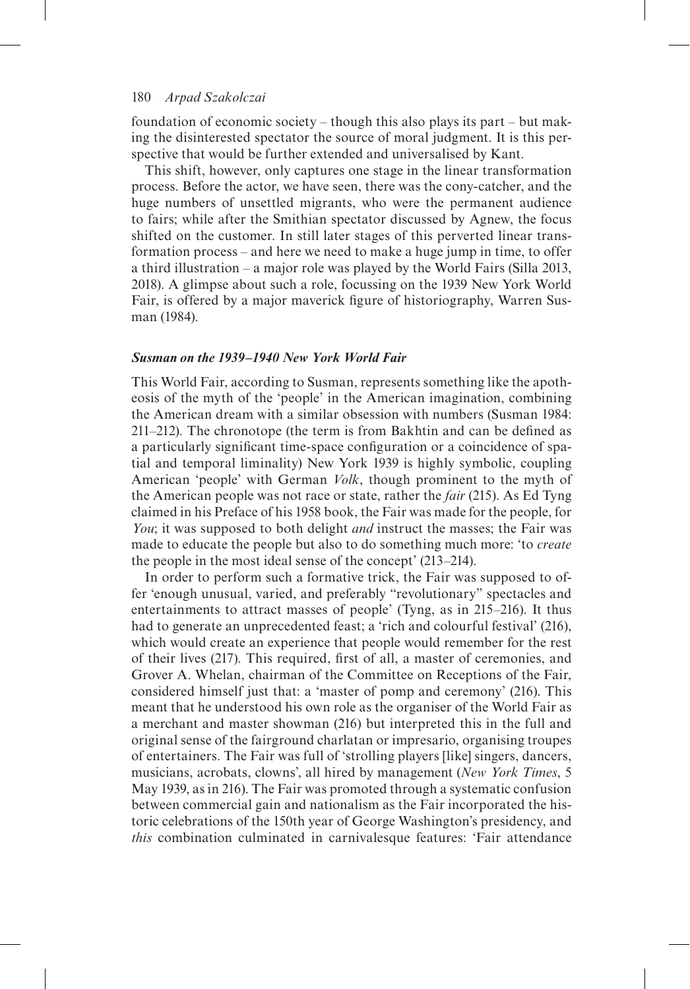foundation of economic society – though this also plays its part – but making the disinterested spectator the source of moral judgment. It is this perspective that would be further extended and universalised by Kant.

This shift, however, only captures one stage in the linear transformation process. Before the actor, we have seen, there was the cony-catcher, and the huge numbers of unsettled migrants, who were the permanent audience to fairs; while after the Smithian spectator discussed by Agnew, the focus shifted on the customer. In still later stages of this perverted linear transformation process – and here we need to make a huge jump in time, to offer a third illustration – a major role was played by the World Fairs (Silla 2013, 2018). A glimpse about such a role, focussing on the 1939 New York World Fair, is offered by a major maverick figure of historiography, Warren Susman (1984).

#### *Susman on the 1939–1940 New York World Fair*

This World Fair, according to Susman, represents something like the apotheosis of the myth of the 'people' in the American imagination, combining the American dream with a similar obsession with numbers (Susman 1984: 211–212). The chronotope (the term is from Bakhtin and can be defined as a particularly significant time-space configuration or a coincidence of spatial and temporal liminality) New York 1939 is highly symbolic, coupling American 'people' with German *Volk*, though prominent to the myth of the American people was not race or state, rather the *fair* (215). As Ed Tyng claimed in his Preface of his 1958 book, the Fair was made for the people, for *You*; it was supposed to both delight *and* instruct the masses; the Fair was made to educate the people but also to do something much more: 'to *create* the people in the most ideal sense of the concept' (213–214).

In order to perform such a formative trick, the Fair was supposed to offer 'enough unusual, varied, and preferably "revolutionary" spectacles and entertainments to attract masses of people' (Tyng, as in 215–216). It thus had to generate an unprecedented feast; a 'rich and colourful festival' (216), which would create an experience that people would remember for the rest of their lives (217). This required, first of all, a master of ceremonies, and Grover A. Whelan, chairman of the Committee on Receptions of the Fair, considered himself just that: a 'master of pomp and ceremony' (216). This meant that he understood his own role as the organiser of the World Fair as a merchant and master showman (216) but interpreted this in the full and original sense of the fairground charlatan or impresario, organising troupes of entertainers. The Fair was full of 'strolling players [like] singers, dancers, musicians, acrobats, clowns', all hired by management (*New York Times*, 5 May 1939, as in 216). The Fair was promoted through a systematic confusion between commercial gain and nationalism as the Fair incorporated the historic celebrations of the 150th year of George Washington's presidency, and *this* combination culminated in carnivalesque features: 'Fair attendance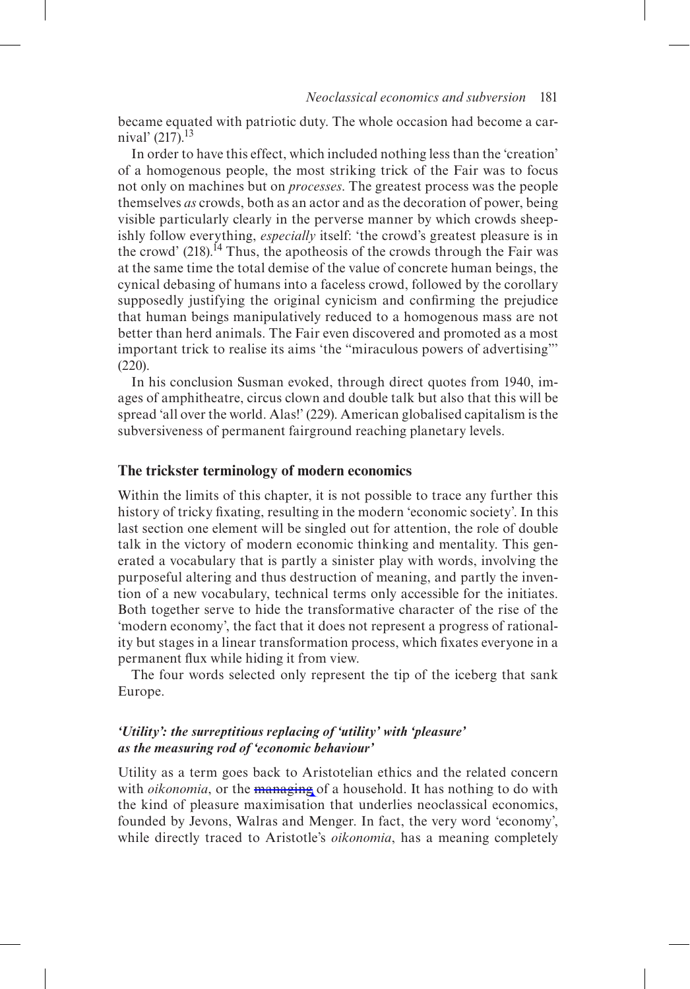became equated with patriotic duty. The whole occasion had become a carnival'  $(217).$ <sup>13</sup>

In order to have this effect, which included nothing less than the 'creation' of a homogenous people, the most striking trick of the Fair was to focus not only on machines but on *processes*. The greatest process was the people themselves *as* crowds, both as an actor and as the decoration of power, being visible particularly clearly in the perverse manner by which crowds sheepishly follow everything, *especially* itself: 'the crowd's greatest pleasure is in the crowd'  $(218)$ .<sup>14</sup> Thus, the apotheosis of the crowds through the Fair was at the same time the total demise of the value of concrete human beings, the cynical debasing of humans into a faceless crowd, followed by the corollary supposedly justifying the original cynicism and confirming the prejudice that human beings manipulatively reduced to a homogenous mass are not better than herd animals. The Fair even discovered and promoted as a most important trick to realise its aims 'the "miraculous powers of advertising"' (220).

In his conclusion Susman evoked, through direct quotes from 1940, images of amphitheatre, circus clown and double talk but also that this will be spread 'all over the world. Alas!' (229). American globalised capitalism is the subversiveness of permanent fairground reaching planetary levels.

#### **The trickster terminology of modern economics**

Within the limits of this chapter, it is not possible to trace any further this history of tricky fixating, resulting in the modern 'economic society'. In this last section one element will be singled out for attention, the role of double talk in the victory of modern economic thinking and mentality. This generated a vocabulary that is partly a sinister play with words, involving the purposeful altering and thus destruction of meaning, and partly the invention of a new vocabulary, technical terms only accessible for the initiates. Both together serve to hide the transformative character of the rise of the 'modern economy', the fact that it does not represent a progress of rationality but stages in a linear transformation process, which fixates everyone in a permanent flux while hiding it from view.

The four words selected only represent the tip of the iceberg that sank Europe.

# *'Utility': the surreptitious replacing of 'utility' with 'pleasure' as the measuring rod of 'economic behaviour'*

Utility as a term goes back to Aristotelian ethics and the related concern with *oikonomia*, or the managing of a household. It has nothing to do with the kind of pleasure maximisation that underlies neoclassical economics, founded by Jevons, Walras and Menger. In fact, the very word 'economy', while directly traced to Aristotle's *oikonomia*, has a meaning completely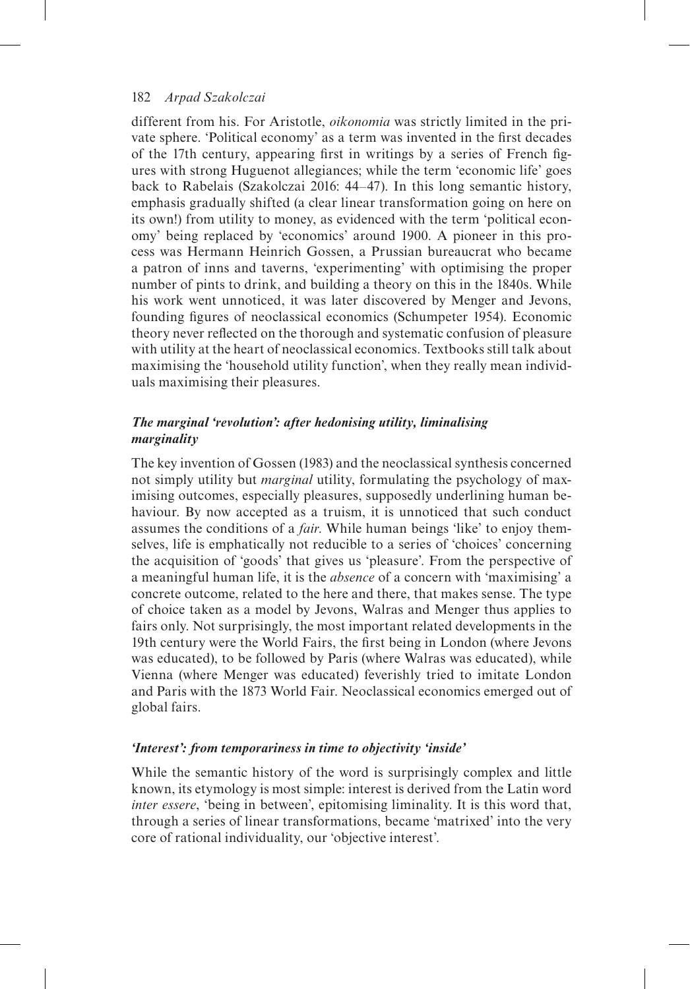different from his. For Aristotle, *oikonomia* was strictly limited in the private sphere. 'Political economy' as a term was invented in the first decades of the 17th century, appearing first in writings by a series of French figures with strong Huguenot allegiances; while the term 'economic life' goes back to Rabelais (Szakolczai 2016: 44–47). In this long semantic history, emphasis gradually shifted (a clear linear transformation going on here on its own!) from utility to money, as evidenced with the term 'political economy' being replaced by 'economics' around 1900. A pioneer in this process was Hermann Heinrich Gossen, a Prussian bureaucrat who became a patron of inns and taverns, 'experimenting' with optimising the proper number of pints to drink, and building a theory on this in the 1840s. While his work went unnoticed, it was later discovered by Menger and Jevons, founding figures of neoclassical economics (Schumpeter 1954). Economic theory never reflected on the thorough and systematic confusion of pleasure with utility at the heart of neoclassical economics. Textbooks still talk about maximising the 'household utility function', when they really mean individuals maximising their pleasures.

# *The marginal 'revolution': after hedonising utility, liminalising marginality*

The key invention of Gossen (1983) and the neoclassical synthesis concerned not simply utility but *marginal* utility, formulating the psychology of maximising outcomes, especially pleasures, supposedly underlining human behaviour. By now accepted as a truism, it is unnoticed that such conduct assumes the conditions of a *fair*. While human beings 'like' to enjoy themselves, life is emphatically not reducible to a series of 'choices' concerning the acquisition of 'goods' that gives us 'pleasure'. From the perspective of a meaningful human life, it is the *absence* of a concern with 'maximising' a concrete outcome, related to the here and there, that makes sense. The type of choice taken as a model by Jevons, Walras and Menger thus applies to fairs only. Not surprisingly, the most important related developments in the 19th century were the World Fairs, the first being in London (where Jevons was educated), to be followed by Paris (where Walras was educated), while Vienna (where Menger was educated) feverishly tried to imitate London and Paris with the 1873 World Fair. Neoclassical economics emerged out of global fairs.

# *'Interest': from temporariness in time to objectivity 'inside'*

While the semantic history of the word is surprisingly complex and little known, its etymology is most simple: interest is derived from the Latin word *inter essere*, 'being in between', epitomising liminality. It is this word that, through a series of linear transformations, became 'matrixed' into the very core of rational individuality, our 'objective interest'.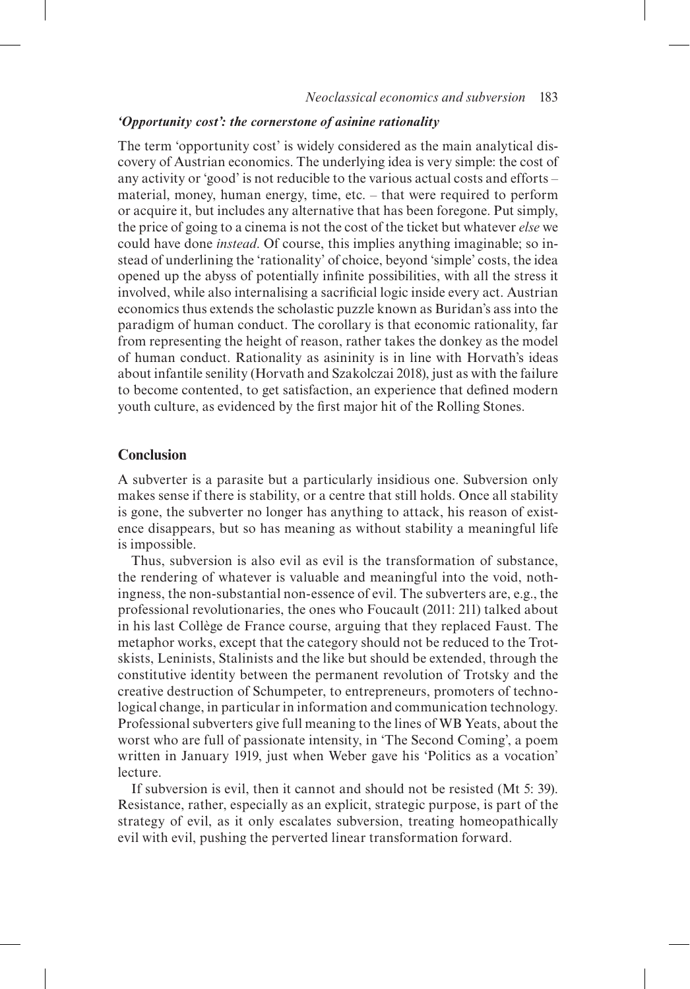## *'Opportunity cost': the cornerstone of asinine rationality*

The term 'opportunity cost' is widely considered as the main analytical discovery of Austrian economics. The underlying idea is very simple: the cost of any activity or 'good' is not reducible to the various actual costs and efforts – material, money, human energy, time, etc. – that were required to perform or acquire it, but includes any alternative that has been foregone. Put simply, the price of going to a cinema is not the cost of the ticket but whatever *else* we could have done *instead*. Of course, this implies anything imaginable; so instead of underlining the 'rationality' of choice, beyond 'simple' costs, the idea opened up the abyss of potentially infinite possibilities, with all the stress it involved, while also internalising a sacrificial logic inside every act. Austrian economics thus extends the scholastic puzzle known as Buridan's ass into the paradigm of human conduct. The corollary is that economic rationality, far from representing the height of reason, rather takes the donkey as the model of human conduct. Rationality as asininity is in line with Horvath's ideas about infantile senility (Horvath and Szakolczai 2018), just as with the failure to become contented, to get satisfaction, an experience that defined modern youth culture, as evidenced by the first major hit of the Rolling Stones.

# **Conclusion**

A subverter is a parasite but a particularly insidious one. Subversion only makes sense if there is stability, or a centre that still holds. Once all stability is gone, the subverter no longer has anything to attack, his reason of existence disappears, but so has meaning as without stability a meaningful life is impossible.

Thus, subversion is also evil as evil is the transformation of substance, the rendering of whatever is valuable and meaningful into the void, nothingness, the non-substantial non-essence of evil. The subverters are, e.g., the professional revolutionaries, the ones who Foucault (2011: 211) talked about in his last Collège de France course, arguing that they replaced Faust. The metaphor works, except that the category should not be reduced to the Trotskists, Leninists, Stalinists and the like but should be extended, through the constitutive identity between the permanent revolution of Trotsky and the creative destruction of Schumpeter, to entrepreneurs, promoters of technological change, in particular in information and communication technology. Professional subverters give full meaning to the lines of WB Yeats, about the worst who are full of passionate intensity, in 'The Second Coming', a poem written in January 1919, just when Weber gave his 'Politics as a vocation' lecture.

If subversion is evil, then it cannot and should not be resisted (Mt 5: 39). Resistance, rather, especially as an explicit, strategic purpose, is part of the strategy of evil, as it only escalates subversion, treating homeopathically evil with evil, pushing the perverted linear transformation forward.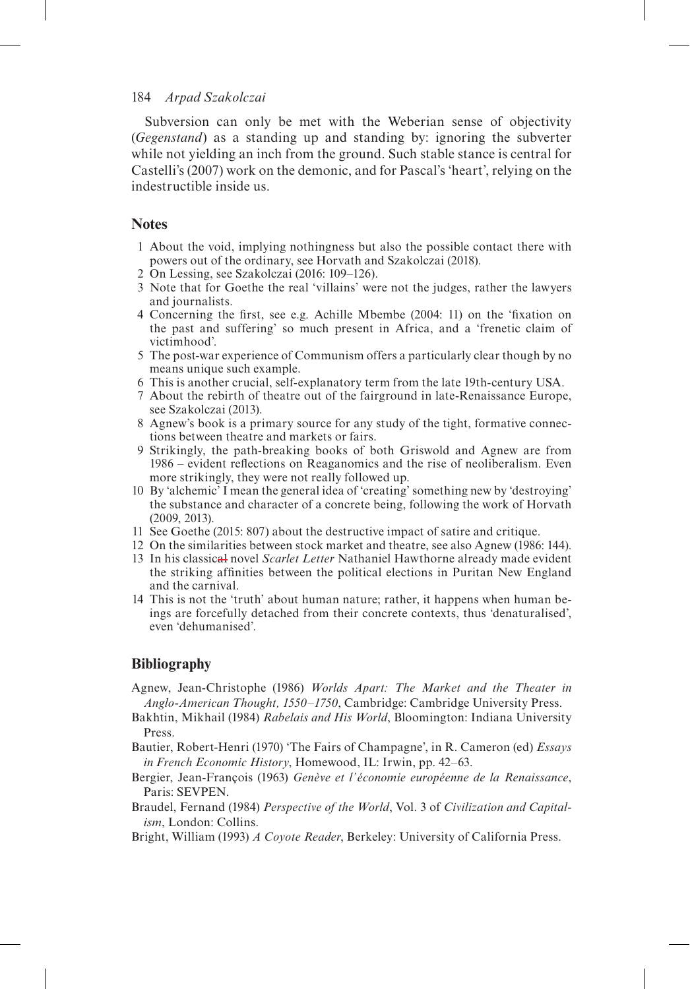Subversion can only be met with the Weberian sense of objectivity (*Gegenstand*) as a standing up and standing by: ignoring the subverter while not yielding an inch from the ground. Such stable stance is central for Castelli's (2007) work on the demonic, and for Pascal's 'heart', relying on the indestructible inside us.

# **Notes**

- 1 About the void, implying nothingness but also the possible contact there with powers out of the ordinary, see Horvath and Szakolczai (2018).
- 2 On Lessing, see Szakolczai (2016: 109–126).
- 3 Note that for Goethe the real 'villains' were not the judges, rather the lawyers and journalists.
- 4 Concerning the first, see e.g. Achille Mbembe (2004: 11) on the 'fixation on the past and suffering' so much present in Africa, and a 'frenetic claim of victimhood'.
- 5 The post-war experience of Communism offers a particularly clear though by no means unique such example.
- 6 This is another crucial, self-explanatory term from the late 19th-century USA.
- 7 About the rebirth of theatre out of the fairground in late-Renaissance Europe, see Szakolczai (2013).
- 8 Agnew's book is a primary source for any study of the tight, formative connections between theatre and markets or fairs.
- 9 Strikingly, the path-breaking books of both Griswold and Agnew are from 1986 – evident reflections on Reaganomics and the rise of neoliberalism. Even more strikingly, they were not really followed up.
- 10 By 'alchemic' I mean the general idea of 'creating' something new by 'destroying' the substance and character of a concrete being, following the work of Horvath (2009, 2013).
- 11 See Goethe (2015: 807) about the destructive impact of satire and critique.
- 12 On the similarities between stock market and theatre, see also Agnew (1986: 144).
- 13 In his classical novel *Scarlet Letter* Nathaniel Hawthorne already made evident the striking affinities between the political elections in Puritan New England and the carnival.
- 14 This is not the 'truth' about human nature; rather, it happens when human beings are forcefully detached from their concrete contexts, thus 'denaturalised', even 'dehumanised'.

# **Bibliography**

- Agnew, Jean-Christophe (1986) *Worlds Apart: The Market and the Theater in Anglo-American Thought, 1550–1750*, Cambridge: Cambridge University Press.
- Bakhtin, Mikhail (1984) *Rabelais and His World*, Bloomington: Indiana University Press.
- Bautier, Robert-Henri (1970) 'The Fairs of Champagne', in R. Cameron (ed) *Essays in French Economic History*, Homewood, IL: Irwin, pp. 42–63.
- Bergier, Jean-François (1963) *Genève et l'économie européenne de la Renaissance*, Paris: SEVPEN.
- Braudel, Fernand (1984) *Perspective of the World*, Vol. 3 of *Civilization and Capitalism*, London: Collins.
- Bright, William (1993) *A Coyote Reader*, Berkeley: University of California Press.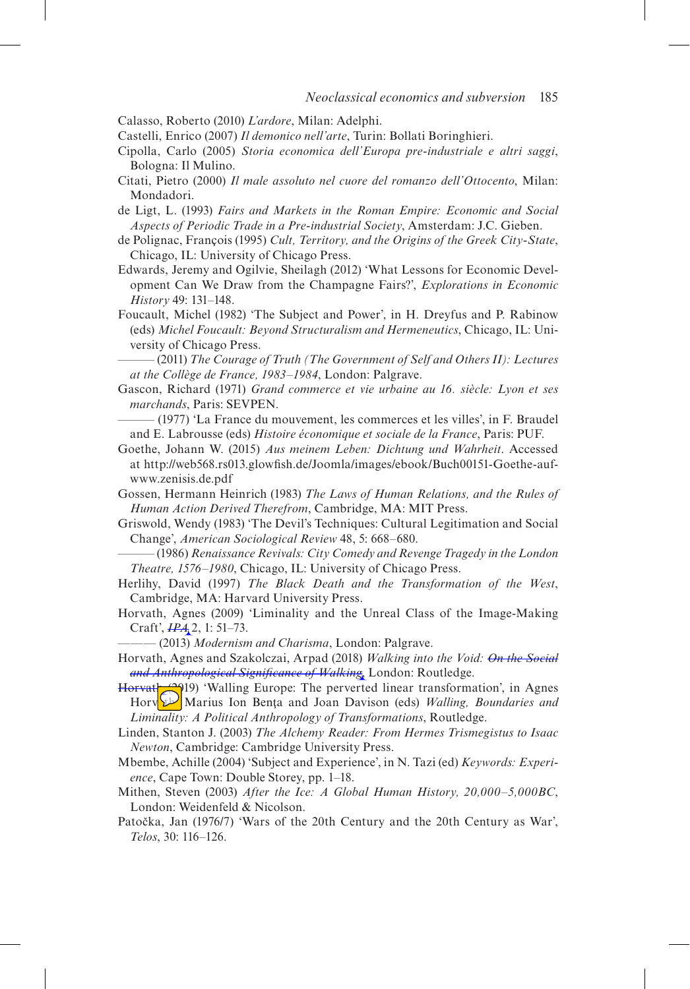Calasso, Roberto (2010) *L'ardore*, Milan: Adelphi.

Castelli, Enrico (2007) *Il demonico nell'arte*, Turin: Bollati Boringhieri.

- Cipolla, Carlo (2005) *Storia economica dell'Europa pre-industriale e altri saggi*, Bologna: Il Mulino.
- Citati, Pietro (2000) *Il male assoluto nel cuore del romanzo dell'Ottocento*, Milan: Mondadori.
- de Ligt, L. (1993) *Fairs and Markets in the Roman Empire: Economic and Social Aspects of Periodic Trade in a Pre-industrial Society*, Amsterdam: J.C. Gieben.
- de Polignac, François (1995) *Cult, Territory, and the Origins of the Greek City-State*, Chicago, IL: University of Chicago Press.
- Edwards, Jeremy and Ogilvie, Sheilagh (2012) 'What Lessons for Economic Development Can We Draw from the Champagne Fairs?', *Explorations in Economic History* 49: 131–148.
- Foucault, Michel (1982) 'The Subject and Power', in H. Dreyfus and P. Rabinow (eds) *Michel Foucault: Beyond Structuralism and Hermeneutics*, Chicago, IL: University of Chicago Press.

——— (2011) *The Courage of Truth (The Government of Self and Others II): Lectures at the Collège de France, 1983–1984*, London: Palgrave.

- Gascon, Richard (1971) *Grand commerce et vie urbaine au 16. siècle: Lyon et ses marchands*, Paris: SEVPEN.
- ——— (1977) 'La France du mouvement, les commerces et les villes', in F. Braudel and E. Labrousse (eds) *Histoire économique et sociale de la France*, Paris: PUF.
- Goethe, Johann W. (2015) *Aus meinem Leben: Dichtung und Wahrheit*. Accessed at http://web568.rs013.glowfish.de/Joomla/images/ebook/Buch00151-Goethe-aufwww.zenisis.de.pdf
- Gossen, Hermann Heinrich (1983) *The Laws of Human Relations, and the Rules of Human Action Derived Therefrom*, Cambridge, MA: MIT Press.
- Griswold, Wendy (1983) 'The Devil's Techniques: Cultural Legitimation and Social Change', *American Sociological Review* 48, 5: 668–680.
- ——— (1986) *Renaissance Revivals: City Comedy and Revenge Tragedy in the London Theatre, 1576–1980*, Chicago, IL: University of Chicago Press.
- Herlihy, David (1997) *The Black Death and the Transformation of the West*, Cambridge, MA: Harvard University Press.
- Horvath, Agnes (2009) 'Liminality and the Unreal Class of the Image-Making Craft', *IPA* 2, 1: 51–73.
- ——— (2013) *Modernism and Charisma*, London: Palgrave.
- Horvath, Agnes and Szakolczai, Arpad (2018) *Walking into the Void: On the Social and Anthropological Significance of Walking*, London: Routledge.
- Horvath (2019) 'Walling Europe: The perverted linear transformation', in Agnes Horv<sup>2</sup> Marius Ion Bența and Joan Davison (eds) *Walling, Boundaries and Liminality: A Political Anthropology of Transformations*, Routledge.
- Linden, Stanton J. (2003) *The Alchemy Reader: From Hermes Trismegistus to Isaac Newton*, Cambridge: Cambridge University Press.
- Mbembe, Achille (2004) 'Subject and Experience', in N. Tazi (ed) *Keywords: Experience*, Cape Town: Double Storey, pp. 1–18.
- Mithen, Steven (2003) *After the Ice: A Global Human History, 20,000–5,000BC*, London: Weidenfeld & Nicolson.
- Patočka, Jan (1976/7) 'Wars of the 20th Century and the 20th Century as War', *Telos*, 30: 116–126.